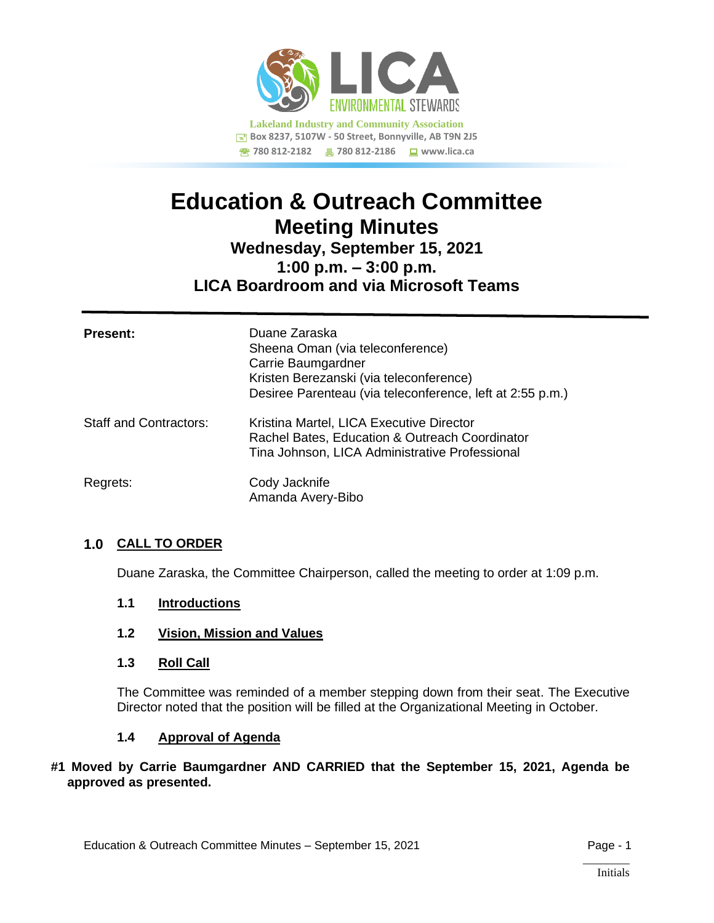

# **Education & Outreach Committee Meeting Minutes Wednesday, September 15, 2021**

**1:00 p.m. – 3:00 p.m.**

## **LICA Boardroom and via Microsoft Teams**

| <b>Present:</b>               | Duane Zaraska<br>Sheena Oman (via teleconference)<br>Carrie Baumgardner<br>Kristen Berezanski (via teleconference)<br>Desiree Parenteau (via teleconference, left at 2:55 p.m.) |
|-------------------------------|---------------------------------------------------------------------------------------------------------------------------------------------------------------------------------|
| <b>Staff and Contractors:</b> | Kristina Martel, LICA Executive Director<br>Rachel Bates, Education & Outreach Coordinator<br>Tina Johnson, LICA Administrative Professional                                    |
| Regrets:                      | Cody Jacknife<br>Amanda Avery-Bibo                                                                                                                                              |

## **1.0 CALL TO ORDER**

Duane Zaraska, the Committee Chairperson, called the meeting to order at 1:09 p.m.

- **1.1 Introductions**
- **1.2 Vision, Mission and Values**
- **1.3 Roll Call**

The Committee was reminded of a member stepping down from their seat. The Executive Director noted that the position will be filled at the Organizational Meeting in October.

## **1.4 Approval of Agenda**

#### **#1 Moved by Carrie Baumgardner AND CARRIED that the September 15, 2021, Agenda be approved as presented.**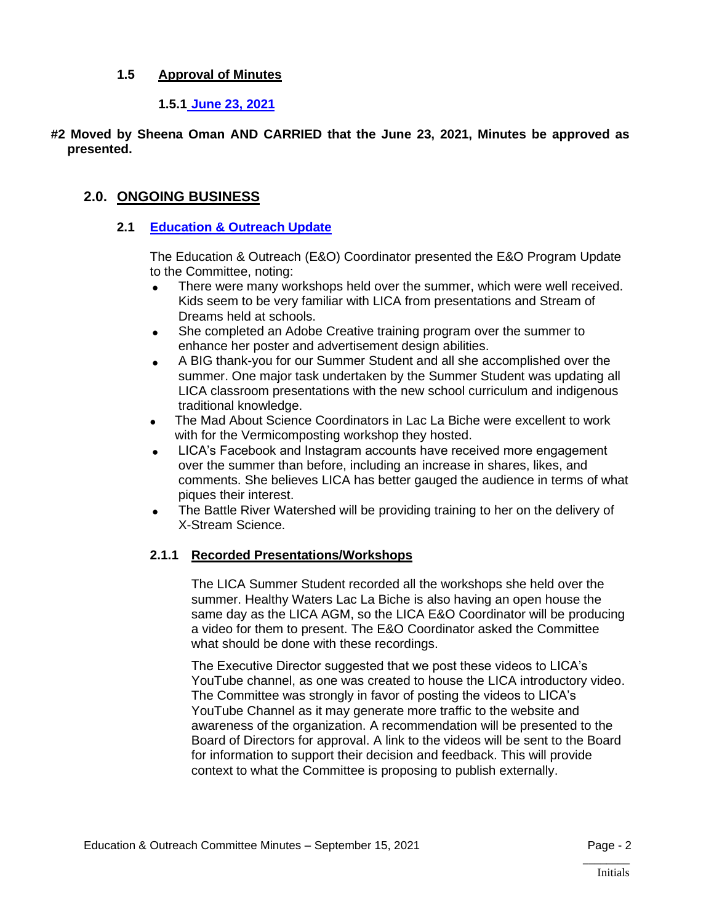## **1.5 Approval of Minutes**

**1.5.1 [June 23, 2021](https://lica2.sharepoint.com/:b:/s/Office/ER2uyDa1x-1DhKmXjuJm7oEBpaSPy6ogw8PuZDrMKMWIwQ?e=NvPhJk)**

**#2 Moved by Sheena Oman AND CARRIED that the June 23, 2021, Minutes be approved as presented.**

## **2.0. ONGOING BUSINESS**

## **2.1 [Education & Outreach Update](https://lica2.sharepoint.com/:b:/s/Office/EeFemlIrydBNtPYJwaBKqBoBfwIobg95fO77Oz3Ur1wbag?e=ShFKPN)**

The Education & Outreach (E&O) Coordinator presented the E&O Program Update to the Committee, noting:

- There were many workshops held over the summer, which were well received. Kids seem to be very familiar with LICA from presentations and Stream of Dreams held at schools.
- She completed an Adobe Creative training program over the summer to enhance her poster and advertisement design abilities.
- A BIG thank-you for our Summer Student and all she accomplished over the summer. One major task undertaken by the Summer Student was updating all LICA classroom presentations with the new school curriculum and indigenous traditional knowledge.
- The Mad About Science Coordinators in Lac La Biche were excellent to work with for the Vermicomposting workshop they hosted.
- LICA's Facebook and Instagram accounts have received more engagement over the summer than before, including an increase in shares, likes, and comments. She believes LICA has better gauged the audience in terms of what piques their interest.
- The Battle River Watershed will be providing training to her on the delivery of X-Stream Science.

## **2.1.1 Recorded Presentations/Workshops**

The LICA Summer Student recorded all the workshops she held over the summer. Healthy Waters Lac La Biche is also having an open house the same day as the LICA AGM, so the LICA E&O Coordinator will be producing a video for them to present. The E&O Coordinator asked the Committee what should be done with these recordings.

The Executive Director suggested that we post these videos to LICA's YouTube channel, as one was created to house the LICA introductory video. The Committee was strongly in favor of posting the videos to LICA's YouTube Channel as it may generate more traffic to the website and awareness of the organization. A recommendation will be presented to the Board of Directors for approval. A link to the videos will be sent to the Board for information to support their decision and feedback. This will provide context to what the Committee is proposing to publish externally.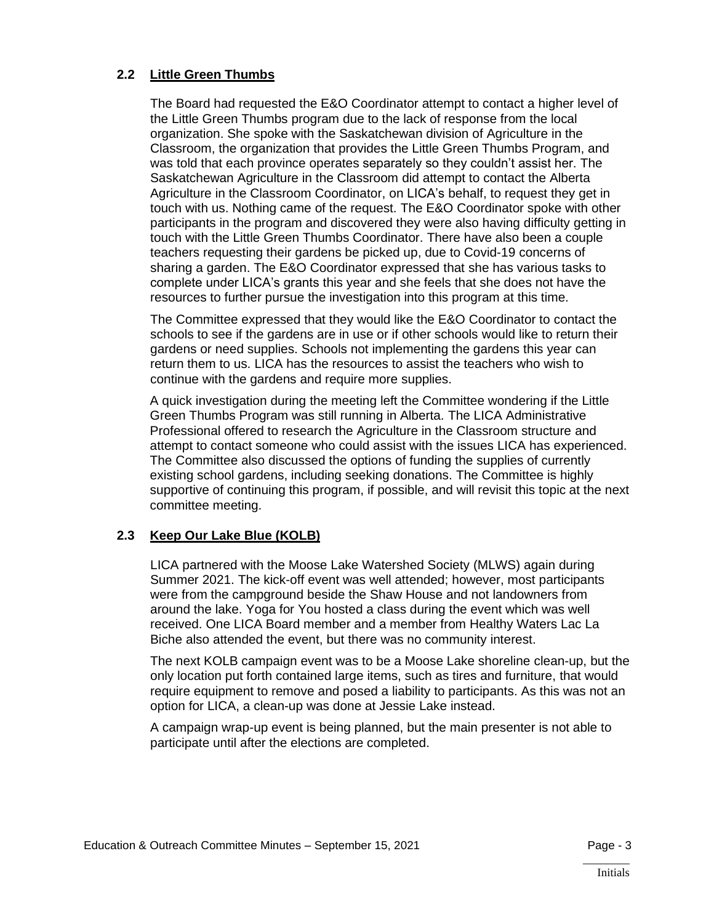## **2.2 Little Green Thumbs**

The Board had requested the E&O Coordinator attempt to contact a higher level of the Little Green Thumbs program due to the lack of response from the local organization. She spoke with the Saskatchewan division of Agriculture in the Classroom, the organization that provides the Little Green Thumbs Program, and was told that each province operates separately so they couldn't assist her. The Saskatchewan Agriculture in the Classroom did attempt to contact the Alberta Agriculture in the Classroom Coordinator, on LICA's behalf, to request they get in touch with us. Nothing came of the request. The E&O Coordinator spoke with other participants in the program and discovered they were also having difficulty getting in touch with the Little Green Thumbs Coordinator. There have also been a couple teachers requesting their gardens be picked up, due to Covid-19 concerns of sharing a garden. The E&O Coordinator expressed that she has various tasks to complete under LICA's grants this year and she feels that she does not have the resources to further pursue the investigation into this program at this time.

The Committee expressed that they would like the E&O Coordinator to contact the schools to see if the gardens are in use or if other schools would like to return their gardens or need supplies. Schools not implementing the gardens this year can return them to us. LICA has the resources to assist the teachers who wish to continue with the gardens and require more supplies.

A quick investigation during the meeting left the Committee wondering if the Little Green Thumbs Program was still running in Alberta. The LICA Administrative Professional offered to research the Agriculture in the Classroom structure and attempt to contact someone who could assist with the issues LICA has experienced. The Committee also discussed the options of funding the supplies of currently existing school gardens, including seeking donations. The Committee is highly supportive of continuing this program, if possible, and will revisit this topic at the next committee meeting.

## **2.3 Keep Our Lake Blue (KOLB)**

LICA partnered with the Moose Lake Watershed Society (MLWS) again during Summer 2021. The kick-off event was well attended; however, most participants were from the campground beside the Shaw House and not landowners from around the lake. Yoga for You hosted a class during the event which was well received. One LICA Board member and a member from Healthy Waters Lac La Biche also attended the event, but there was no community interest.

The next KOLB campaign event was to be a Moose Lake shoreline clean-up, but the only location put forth contained large items, such as tires and furniture, that would require equipment to remove and posed a liability to participants. As this was not an option for LICA, a clean-up was done at Jessie Lake instead.

A campaign wrap-up event is being planned, but the main presenter is not able to participate until after the elections are completed.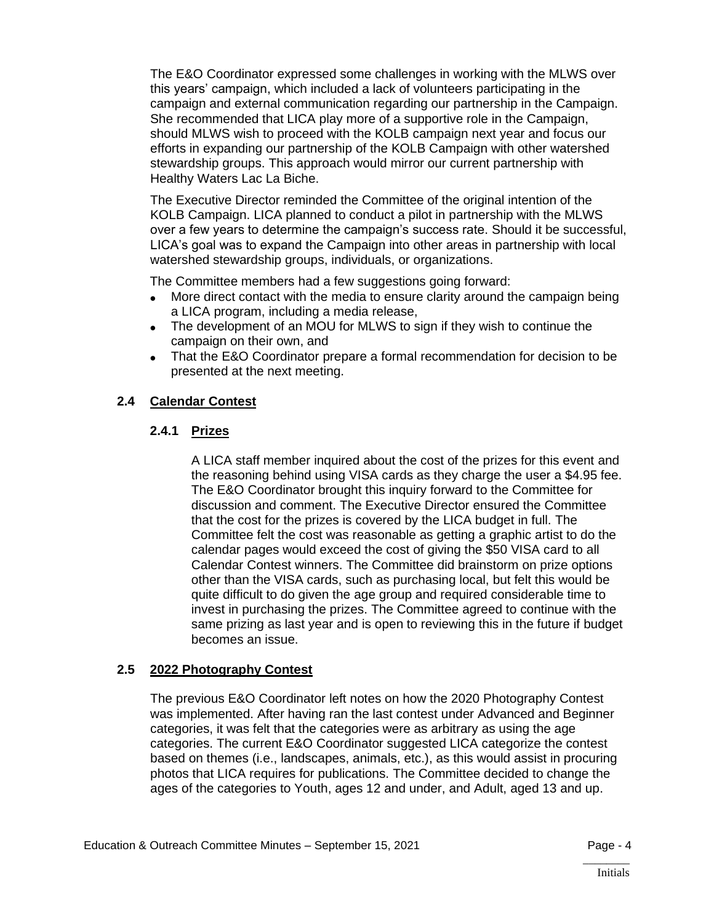The E&O Coordinator expressed some challenges in working with the MLWS over this years' campaign, which included a lack of volunteers participating in the campaign and external communication regarding our partnership in the Campaign. She recommended that LICA play more of a supportive role in the Campaign, should MLWS wish to proceed with the KOLB campaign next year and focus our efforts in expanding our partnership of the KOLB Campaign with other watershed stewardship groups. This approach would mirror our current partnership with Healthy Waters Lac La Biche.

The Executive Director reminded the Committee of the original intention of the KOLB Campaign. LICA planned to conduct a pilot in partnership with the MLWS over a few years to determine the campaign's success rate. Should it be successful, LICA's goal was to expand the Campaign into other areas in partnership with local watershed stewardship groups, individuals, or organizations.

The Committee members had a few suggestions going forward:

- More direct contact with the media to ensure clarity around the campaign being a LICA program, including a media release,
- The development of an MOU for MLWS to sign if they wish to continue the campaign on their own, and
- That the E&O Coordinator prepare a formal recommendation for decision to be presented at the next meeting.

## **2.4 Calendar Contest**

## **2.4.1 Prizes**

A LICA staff member inquired about the cost of the prizes for this event and the reasoning behind using VISA cards as they charge the user a \$4.95 fee. The E&O Coordinator brought this inquiry forward to the Committee for discussion and comment. The Executive Director ensured the Committee that the cost for the prizes is covered by the LICA budget in full. The Committee felt the cost was reasonable as getting a graphic artist to do the calendar pages would exceed the cost of giving the \$50 VISA card to all Calendar Contest winners. The Committee did brainstorm on prize options other than the VISA cards, such as purchasing local, but felt this would be quite difficult to do given the age group and required considerable time to invest in purchasing the prizes. The Committee agreed to continue with the same prizing as last year and is open to reviewing this in the future if budget becomes an issue.

#### **2.5 2022 Photography Contest**

The previous E&O Coordinator left notes on how the 2020 Photography Contest was implemented. After having ran the last contest under Advanced and Beginner categories, it was felt that the categories were as arbitrary as using the age categories. The current E&O Coordinator suggested LICA categorize the contest based on themes (i.e., landscapes, animals, etc.), as this would assist in procuring photos that LICA requires for publications. The Committee decided to change the ages of the categories to Youth, ages 12 and under, and Adult, aged 13 and up.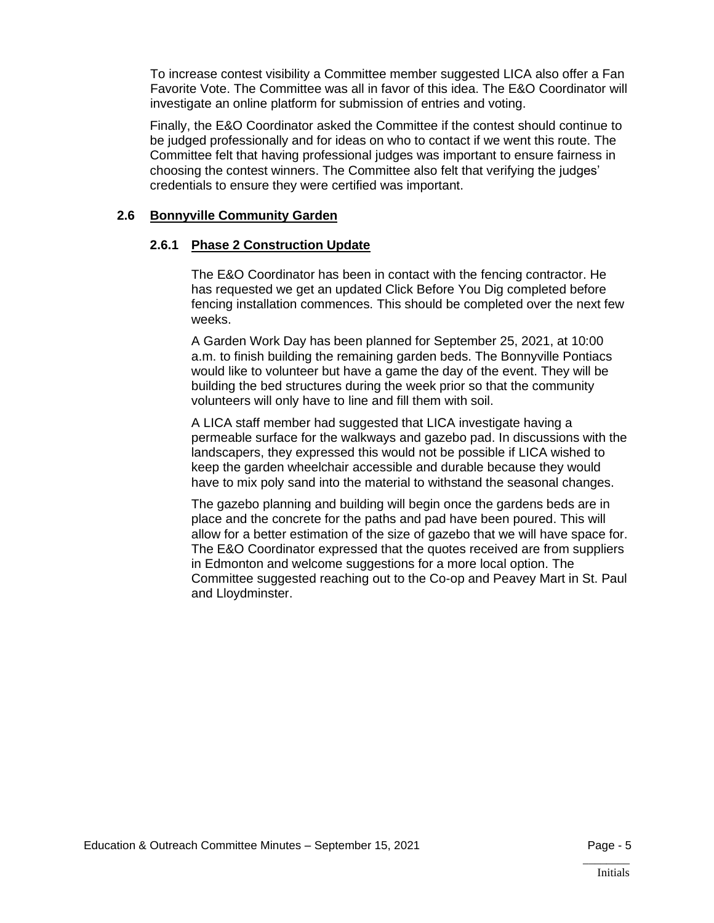To increase contest visibility a Committee member suggested LICA also offer a Fan Favorite Vote. The Committee was all in favor of this idea. The E&O Coordinator will investigate an online platform for submission of entries and voting.

Finally, the E&O Coordinator asked the Committee if the contest should continue to be judged professionally and for ideas on who to contact if we went this route. The Committee felt that having professional judges was important to ensure fairness in choosing the contest winners. The Committee also felt that verifying the judges' credentials to ensure they were certified was important.

#### **2.6 Bonnyville Community Garden**

#### **2.6.1 Phase 2 Construction Update**

The E&O Coordinator has been in contact with the fencing contractor. He has requested we get an updated Click Before You Dig completed before fencing installation commences. This should be completed over the next few weeks.

A Garden Work Day has been planned for September 25, 2021, at 10:00 a.m. to finish building the remaining garden beds. The Bonnyville Pontiacs would like to volunteer but have a game the day of the event. They will be building the bed structures during the week prior so that the community volunteers will only have to line and fill them with soil.

A LICA staff member had suggested that LICA investigate having a permeable surface for the walkways and gazebo pad. In discussions with the landscapers, they expressed this would not be possible if LICA wished to keep the garden wheelchair accessible and durable because they would have to mix poly sand into the material to withstand the seasonal changes.

The gazebo planning and building will begin once the gardens beds are in place and the concrete for the paths and pad have been poured. This will allow for a better estimation of the size of gazebo that we will have space for. The E&O Coordinator expressed that the quotes received are from suppliers in Edmonton and welcome suggestions for a more local option. The Committee suggested reaching out to the Co-op and Peavey Mart in St. Paul and Lloydminster.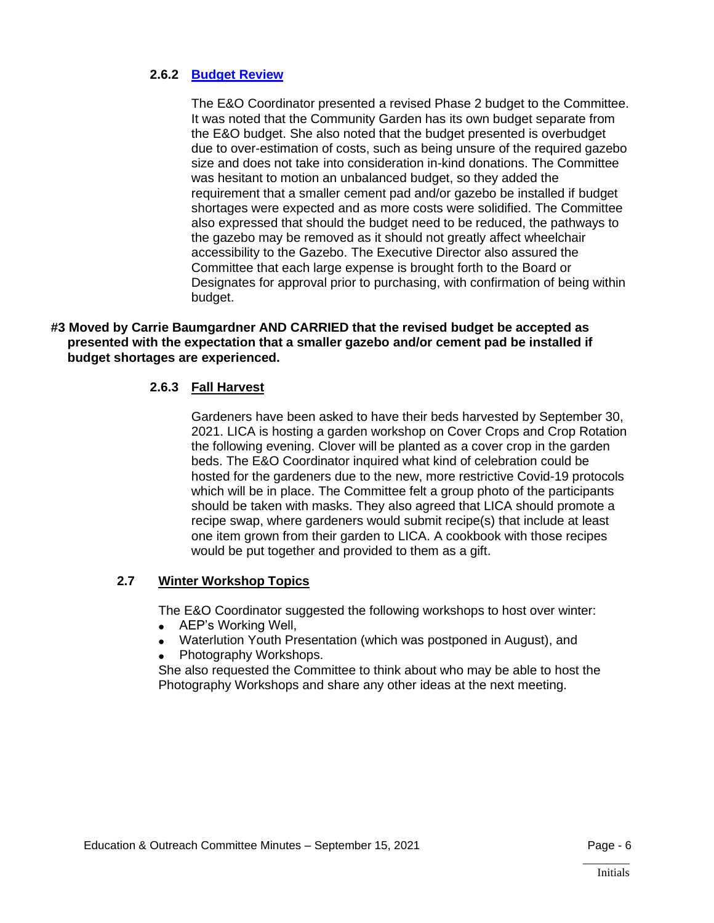#### **2.6.2 [Budget Review](https://lica2.sharepoint.com/:x:/s/Office/EfJNHNdi3QVBqou6wAtdTEkBtwNrJD0vl9ZJLwUa9oftcw?e=Yhc6jY)**

The E&O Coordinator presented a revised Phase 2 budget to the Committee. It was noted that the Community Garden has its own budget separate from the E&O budget. She also noted that the budget presented is overbudget due to over-estimation of costs, such as being unsure of the required gazebo size and does not take into consideration in-kind donations. The Committee was hesitant to motion an unbalanced budget, so they added the requirement that a smaller cement pad and/or gazebo be installed if budget shortages were expected and as more costs were solidified. The Committee also expressed that should the budget need to be reduced, the pathways to the gazebo may be removed as it should not greatly affect wheelchair accessibility to the Gazebo. The Executive Director also assured the Committee that each large expense is brought forth to the Board or Designates for approval prior to purchasing, with confirmation of being within budget.

#### **#3 Moved by Carrie Baumgardner AND CARRIED that the revised budget be accepted as presented with the expectation that a smaller gazebo and/or cement pad be installed if budget shortages are experienced.**

## **2.6.3 Fall Harvest**

Gardeners have been asked to have their beds harvested by September 30, 2021. LICA is hosting a garden workshop on Cover Crops and Crop Rotation the following evening. Clover will be planted as a cover crop in the garden beds. The E&O Coordinator inquired what kind of celebration could be hosted for the gardeners due to the new, more restrictive Covid-19 protocols which will be in place. The Committee felt a group photo of the participants should be taken with masks. They also agreed that LICA should promote a recipe swap, where gardeners would submit recipe(s) that include at least one item grown from their garden to LICA. A cookbook with those recipes would be put together and provided to them as a gift.

#### **2.7 Winter Workshop Topics**

The E&O Coordinator suggested the following workshops to host over winter:

- AEP's Working Well,
- Waterlution Youth Presentation (which was postponed in August), and
- Photography Workshops.

She also requested the Committee to think about who may be able to host the Photography Workshops and share any other ideas at the next meeting.